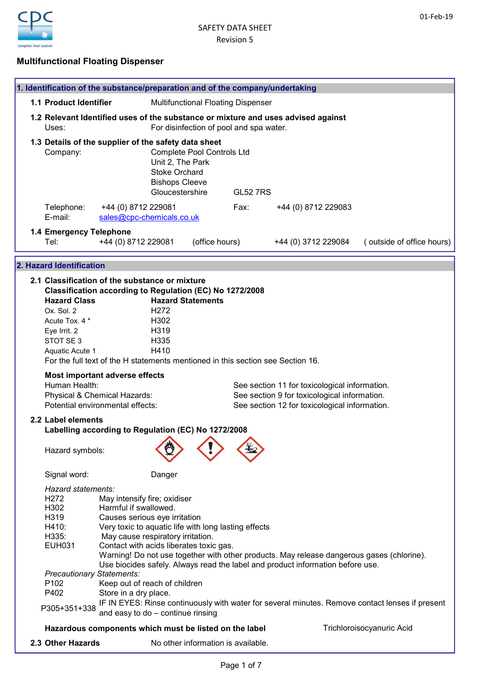

# Multifunctional Floating Dispenser

| 1. Identification of the substance/preparation and of the company/undertaking |                                                                                                                                                                                                                                                                                                                                        |                                                                                                                                                                                                                                |                                                                                                                           |                |                 |                                                                                                                                                                             |                           |                           |
|-------------------------------------------------------------------------------|----------------------------------------------------------------------------------------------------------------------------------------------------------------------------------------------------------------------------------------------------------------------------------------------------------------------------------------|--------------------------------------------------------------------------------------------------------------------------------------------------------------------------------------------------------------------------------|---------------------------------------------------------------------------------------------------------------------------|----------------|-----------------|-----------------------------------------------------------------------------------------------------------------------------------------------------------------------------|---------------------------|---------------------------|
| 1.1 Product Identifier                                                        |                                                                                                                                                                                                                                                                                                                                        |                                                                                                                                                                                                                                | <b>Multifunctional Floating Dispenser</b>                                                                                 |                |                 |                                                                                                                                                                             |                           |                           |
|                                                                               | 1.2 Relevant Identified uses of the substance or mixture and uses advised against<br>For disinfection of pool and spa water.<br>Uses:                                                                                                                                                                                                  |                                                                                                                                                                                                                                |                                                                                                                           |                |                 |                                                                                                                                                                             |                           |                           |
|                                                                               | 1.3 Details of the supplier of the safety data sheet<br>Company:                                                                                                                                                                                                                                                                       |                                                                                                                                                                                                                                | <b>Complete Pool Controls Ltd</b><br>Unit 2, The Park<br><b>Stoke Orchard</b><br><b>Bishops Cleeve</b><br>Gloucestershire |                | <b>GL52 7RS</b> |                                                                                                                                                                             |                           |                           |
|                                                                               | Telephone:<br>E-mail:                                                                                                                                                                                                                                                                                                                  | +44 (0) 8712 229081<br>sales@cpc-chemicals.co.uk                                                                                                                                                                               |                                                                                                                           |                | Fax:            | +44 (0) 8712 229083                                                                                                                                                         |                           |                           |
|                                                                               | 1.4 Emergency Telephone<br>Tel:                                                                                                                                                                                                                                                                                                        | +44 (0) 8712 229081                                                                                                                                                                                                            |                                                                                                                           | (office hours) |                 | +44 (0) 3712 229084                                                                                                                                                         |                           | (outside of office hours) |
|                                                                               | 2. Hazard Identification                                                                                                                                                                                                                                                                                                               |                                                                                                                                                                                                                                |                                                                                                                           |                |                 |                                                                                                                                                                             |                           |                           |
|                                                                               | 2.1 Classification of the substance or mixture<br>Classification according to Regulation (EC) No 1272/2008<br><b>Hazard Class</b><br>Ox. Sol. 2<br>Acute Tox. 4 *<br>Eye Irrit. 2<br>STOT SE 3<br>Aquatic Acute 1<br>For the full text of the H statements mentioned in this section see Section 16.<br>Most important adverse effects |                                                                                                                                                                                                                                | <b>Hazard Statements</b><br>H <sub>272</sub><br>H302<br>H319<br>H335<br>H410                                              |                |                 |                                                                                                                                                                             |                           |                           |
|                                                                               | Human Health:<br>Physical & Chemical Hazards:<br>Potential environmental effects:                                                                                                                                                                                                                                                      |                                                                                                                                                                                                                                |                                                                                                                           |                |                 | See section 11 for toxicological information.<br>See section 9 for toxicological information.<br>See section 12 for toxicological information.                              |                           |                           |
|                                                                               | 2.2 Label elements<br>Labelling according to Regulation (EC) No 1272/2008                                                                                                                                                                                                                                                              |                                                                                                                                                                                                                                |                                                                                                                           |                |                 |                                                                                                                                                                             |                           |                           |
|                                                                               | Hazard symbols:                                                                                                                                                                                                                                                                                                                        |                                                                                                                                                                                                                                | $\lambda$ $\lambda$                                                                                                       |                |                 |                                                                                                                                                                             |                           |                           |
|                                                                               | Signal word:                                                                                                                                                                                                                                                                                                                           |                                                                                                                                                                                                                                | Danger                                                                                                                    |                |                 |                                                                                                                                                                             |                           |                           |
|                                                                               | Hazard statements:<br>H <sub>272</sub><br>H302<br>H319<br>H410:<br>H335:<br><b>EUH031</b>                                                                                                                                                                                                                                              | May intensify fire; oxidiser<br>Harmful if swallowed.<br>Causes serious eye irritation<br>Very toxic to aquatic life with long lasting effects<br>May cause respiratory irritation.<br>Contact with acids liberates toxic gas. |                                                                                                                           |                |                 | Warning! Do not use together with other products. May release dangerous gases (chlorine).<br>Use biocides safely. Always read the label and product information before use. |                           |                           |
|                                                                               | <b>Precautionary Statements:</b><br>P <sub>102</sub><br>P402                                                                                                                                                                                                                                                                           | Keep out of reach of children<br>Store in a dry place.                                                                                                                                                                         |                                                                                                                           |                |                 | IF IN EYES: Rinse continuously with water for several minutes. Remove contact lenses if present                                                                             |                           |                           |
|                                                                               | P305+351+338                                                                                                                                                                                                                                                                                                                           | and easy to do - continue rinsing                                                                                                                                                                                              |                                                                                                                           |                |                 |                                                                                                                                                                             |                           |                           |
|                                                                               | Hazardous components which must be listed on the label                                                                                                                                                                                                                                                                                 |                                                                                                                                                                                                                                |                                                                                                                           |                |                 |                                                                                                                                                                             | Trichloroisocyanuric Acid |                           |
|                                                                               | 2.3 Other Hazards                                                                                                                                                                                                                                                                                                                      |                                                                                                                                                                                                                                | No other information is available.                                                                                        |                |                 |                                                                                                                                                                             |                           |                           |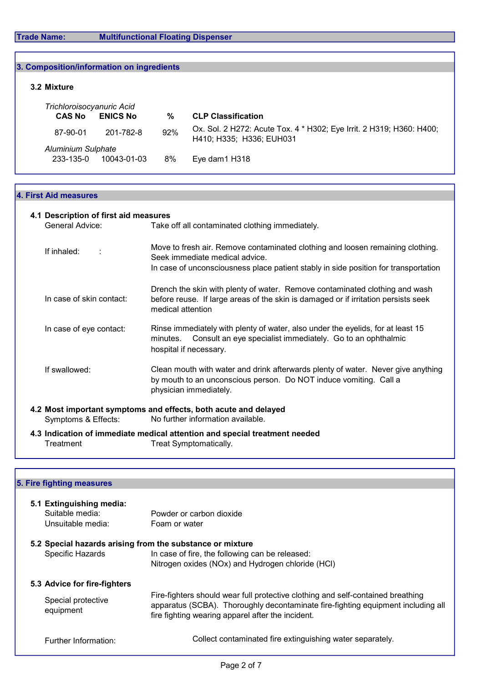f

| 3. Composition/information on ingredients  |                 |     |                                                                                                  |  |  |  |  |
|--------------------------------------------|-----------------|-----|--------------------------------------------------------------------------------------------------|--|--|--|--|
| 3.2 Mixture                                |                 |     |                                                                                                  |  |  |  |  |
| Trichloroisocyanuric Acid<br><b>CAS No</b> | <b>ENICS No</b> | %   | <b>CLP Classification</b>                                                                        |  |  |  |  |
| 87-90-01                                   | 201-782-8       | 92% | Ox. Sol. 2 H272: Acute Tox. 4 * H302; Eye Irrit. 2 H319; H360: H400;<br>H410; H335; H336; EUH031 |  |  |  |  |
| <b>Aluminium Sulphate</b>                  |                 |     |                                                                                                  |  |  |  |  |
| 233-135-0                                  | 10043-01-03     | 8%  | Eye dam1 H318                                                                                    |  |  |  |  |

## 4. First Aid measures

| 4.1 Description of first aid measures                                                                                       |                                                                                                                |                                                                                                                                                                                                         |  |  |  |
|-----------------------------------------------------------------------------------------------------------------------------|----------------------------------------------------------------------------------------------------------------|---------------------------------------------------------------------------------------------------------------------------------------------------------------------------------------------------------|--|--|--|
| General Advice:                                                                                                             |                                                                                                                | Take off all contaminated clothing immediately.                                                                                                                                                         |  |  |  |
| If inhaled:                                                                                                                 |                                                                                                                | Move to fresh air. Remove contaminated clothing and loosen remaining clothing.<br>Seek immediate medical advice.<br>In case of unconsciousness place patient stably in side position for transportation |  |  |  |
| In case of skin contact:                                                                                                    | medical attention                                                                                              | Drench the skin with plenty of water. Remove contaminated clothing and wash<br>before reuse. If large areas of the skin is damaged or if irritation persists seek                                       |  |  |  |
| In case of eye contact:                                                                                                     | minutes.                                                                                                       | Rinse immediately with plenty of water, also under the eyelids, for at least 15<br>Consult an eye specialist immediately. Go to an ophthalmic<br>hospital if necessary.                                 |  |  |  |
| If swallowed:                                                                                                               |                                                                                                                | Clean mouth with water and drink afterwards plenty of water. Never give anything<br>by mouth to an unconscious person. Do NOT induce vomiting. Call a<br>physician immediately.                         |  |  |  |
| 4.2 Most important symptoms and effects, both acute and delayed<br>No further information available.<br>Symptoms & Effects: |                                                                                                                |                                                                                                                                                                                                         |  |  |  |
|                                                                                                                             | the contract of the contract of the contract of the contract of the contract of the contract of the contract o |                                                                                                                                                                                                         |  |  |  |

4.3 Indication of immediate medical attention and special treatment needed<br>Treatment Treat Symptomatically. Treat Symptomatically.

# 5. Fire fighting measures

| 5.1 Extinguishing media:<br>Suitable media:<br>Unsuitable media: | Powder or carbon dioxide<br>Foam or water                                                                                                                                                                                |
|------------------------------------------------------------------|--------------------------------------------------------------------------------------------------------------------------------------------------------------------------------------------------------------------------|
| 5.2 Special hazards arising from the substance or mixture        |                                                                                                                                                                                                                          |
| Specific Hazards                                                 | In case of fire, the following can be released:                                                                                                                                                                          |
|                                                                  | Nitrogen oxides (NOx) and Hydrogen chloride (HCI)                                                                                                                                                                        |
| 5.3 Advice for fire-fighters                                     |                                                                                                                                                                                                                          |
| Special protective<br>equipment                                  | Fire-fighters should wear full protective clothing and self-contained breathing<br>apparatus (SCBA). Thoroughly decontaminate fire-fighting equipment including all<br>fire fighting wearing apparel after the incident. |
| Further Information:                                             | Collect contaminated fire extinguishing water separately.                                                                                                                                                                |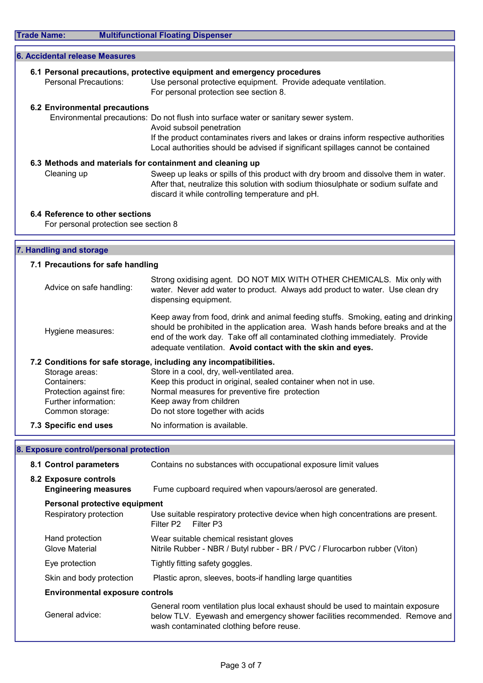| 6.1 Personal precautions, protective equipment and emergency procedures |                                                                                                                                                                                                                                |  |  |  |  |
|-------------------------------------------------------------------------|--------------------------------------------------------------------------------------------------------------------------------------------------------------------------------------------------------------------------------|--|--|--|--|
| Personal Precautions:                                                   | Use personal protective equipment. Provide adequate ventilation.                                                                                                                                                               |  |  |  |  |
|                                                                         | For personal protection see section 8.                                                                                                                                                                                         |  |  |  |  |
| <b>6.2 Environmental precautions</b>                                    |                                                                                                                                                                                                                                |  |  |  |  |
|                                                                         | Environmental precautions: Do not flush into surface water or sanitary sewer system.                                                                                                                                           |  |  |  |  |
| Avoid subsoil penetration                                               |                                                                                                                                                                                                                                |  |  |  |  |
|                                                                         | If the product contaminates rivers and lakes or drains inform respective authorities<br>Local authorities should be advised if significant spillages cannot be contained                                                       |  |  |  |  |
|                                                                         | 6.3 Methods and materials for containment and cleaning up                                                                                                                                                                      |  |  |  |  |
| Cleaning up                                                             | Sweep up leaks or spills of this product with dry broom and dissolve them in water.<br>After that, neutralize this solution with sodium thiosulphate or sodium sulfate and<br>discard it while controlling temperature and pH. |  |  |  |  |

For personal protection see section 8

# 7. Handling and storage

## 7.1 Precautions for safe handling

| Advice on safe handling: | Strong oxidising agent. DO NOT MIX WITH OTHER CHEMICALS. Mix only with<br>water. Never add water to product. Always add product to water. Use clean dry<br>dispensing equipment.                                                                                                                                       |
|--------------------------|------------------------------------------------------------------------------------------------------------------------------------------------------------------------------------------------------------------------------------------------------------------------------------------------------------------------|
| Hygiene measures:        | Keep away from food, drink and animal feeding stuffs. Smoking, eating and drinking<br>should be prohibited in the application area. Wash hands before breaks and at the<br>end of the work day. Take off all contaminated clothing immediately. Provide<br>adequate ventilation. Avoid contact with the skin and eyes. |
|                          | 7.2 Conditions for safe storage, including any incompatibilities.                                                                                                                                                                                                                                                      |
| Storage areas:           | Store in a cool, dry, well-ventilated area.                                                                                                                                                                                                                                                                            |
| Containers:              | Keep this product in original, sealed container when not in use.                                                                                                                                                                                                                                                       |
| Protection against fire: | Normal measures for preventive fire protection                                                                                                                                                                                                                                                                         |
| Further information:     | Keep away from children                                                                                                                                                                                                                                                                                                |
| Common storage:          | Do not store together with acids                                                                                                                                                                                                                                                                                       |

7.3 Specific end uses No information is available.

# 8. Exposure control/personal protection

| 8.1 Control parameters                                  | Contains no substances with occupational exposure limit values                                                                                                                                            |  |  |
|---------------------------------------------------------|-----------------------------------------------------------------------------------------------------------------------------------------------------------------------------------------------------------|--|--|
| 8.2 Exposure controls<br><b>Engineering measures</b>    | Fume cupboard required when vapours/aerosol are generated.                                                                                                                                                |  |  |
| Personal protective equipment<br>Respiratory protection | Use suitable respiratory protective device when high concentrations are present.<br>Filter P3<br>Filter P2                                                                                                |  |  |
| Hand protection<br>Glove Material                       | Wear suitable chemical resistant gloves<br>Nitrile Rubber - NBR / Butyl rubber - BR / PVC / Flurocarbon rubber (Viton)                                                                                    |  |  |
| Eye protection                                          | Tightly fitting safety goggles.                                                                                                                                                                           |  |  |
| Skin and body protection                                | Plastic apron, sleeves, boots-if handling large quantities                                                                                                                                                |  |  |
| <b>Environmental exposure controls</b>                  |                                                                                                                                                                                                           |  |  |
| General advice:                                         | General room ventilation plus local exhaust should be used to maintain exposure<br>below TLV. Eyewash and emergency shower facilities recommended. Remove and<br>wash contaminated clothing before reuse. |  |  |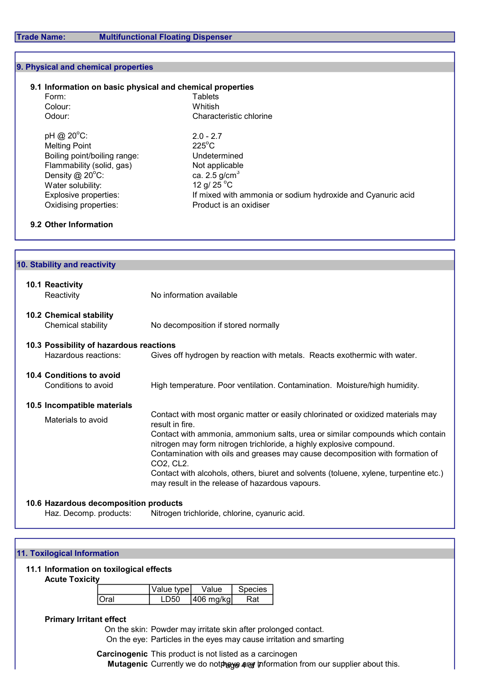## 9. Physical and chemical properties

## 9.1 Information on basic physical and chemical properties

| Form:                        | Tablets                                                     |
|------------------------------|-------------------------------------------------------------|
| Colour:                      | Whitish                                                     |
| Odour:                       | Characteristic chlorine                                     |
| pH @ 20°C:                   | $2.0 - 2.7$                                                 |
| <b>Melting Point</b>         | $225^{\circ}$ C                                             |
| Boiling point/boiling range: | Undetermined                                                |
| Flammability (solid, gas)    | Not applicable                                              |
| Density @ 20 $^{\circ}$ C:   | ca. 2.5 $g/cm3$                                             |
| Water solubility:            | 12 g/ 25 $^{\circ}$ C                                       |
| Explosive properties:        | If mixed with ammonia or sodium hydroxide and Cyanuric acid |
| Oxidising properties:        | Product is an oxidiser                                      |
|                              |                                                             |

#### 9.2 Other Information

| 10. Stability and reactivity                                    |                                                                                                                                                                                                                                                                                                                                                                                                                                                                                                        |  |  |  |  |  |
|-----------------------------------------------------------------|--------------------------------------------------------------------------------------------------------------------------------------------------------------------------------------------------------------------------------------------------------------------------------------------------------------------------------------------------------------------------------------------------------------------------------------------------------------------------------------------------------|--|--|--|--|--|
| 10.1 Reactivity<br>Reactivity                                   | No information available                                                                                                                                                                                                                                                                                                                                                                                                                                                                               |  |  |  |  |  |
| <b>10.2 Chemical stability</b><br>Chemical stability            | No decomposition if stored normally                                                                                                                                                                                                                                                                                                                                                                                                                                                                    |  |  |  |  |  |
| 10.3 Possibility of hazardous reactions<br>Hazardous reactions: | Gives off hydrogen by reaction with metals. Reacts exothermic with water.                                                                                                                                                                                                                                                                                                                                                                                                                              |  |  |  |  |  |
| 10.4 Conditions to avoid<br>Conditions to avoid                 | High temperature. Poor ventilation. Contamination. Moisture/high humidity.                                                                                                                                                                                                                                                                                                                                                                                                                             |  |  |  |  |  |
| 10.5 Incompatible materials<br>Materials to avoid               | Contact with most organic matter or easily chlorinated or oxidized materials may<br>result in fire.<br>Contact with ammonia, ammonium salts, urea or similar compounds which contain<br>nitrogen may form nitrogen trichloride, a highly explosive compound.<br>Contamination with oils and greases may cause decomposition with formation of<br>CO2, CL2.<br>Contact with alcohols, others, biuret and solvents (toluene, xylene, turpentine etc.)<br>may result in the release of hazardous vapours. |  |  |  |  |  |
| 10.6 Hazardous decomposition products<br>Haz. Decomp. products: | Nitrogen trichloride, chlorine, cyanuric acid.                                                                                                                                                                                                                                                                                                                                                                                                                                                         |  |  |  |  |  |

#### 11. Toxilogical Information

# 11.1 Information on toxilogical effects

Acute Toxicity

|      | Value type | Value      | <b>Species</b> |
|------|------------|------------|----------------|
| Oral | D50        | 1406 mg/kg | रat            |

#### Primary Irritant effect

On the skin: Powder may irritate skin after prolonged contact. On the eye: Particles in the eyes may cause irritation and smarting

## Carcinogenic This product is not listed as a carcinogen Mutagenic Currently we do notplaye any information from our supplier about this.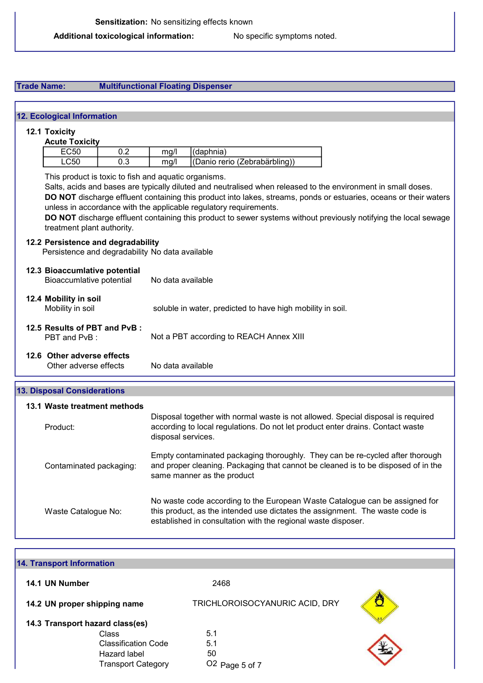# Trade Name: Multifunctional Floating Dispenser

| <b>12. Ecological Information</b>                                                     |                                                                                                                                                                                                                                                                                                                                                                                                                             |  |  |  |  |  |
|---------------------------------------------------------------------------------------|-----------------------------------------------------------------------------------------------------------------------------------------------------------------------------------------------------------------------------------------------------------------------------------------------------------------------------------------------------------------------------------------------------------------------------|--|--|--|--|--|
| 12.1 Toxicity                                                                         |                                                                                                                                                                                                                                                                                                                                                                                                                             |  |  |  |  |  |
| <b>Acute Toxicity</b>                                                                 |                                                                                                                                                                                                                                                                                                                                                                                                                             |  |  |  |  |  |
| <b>EC50</b><br>0.2<br><b>LC50</b><br>0.3                                              | (daphnia)<br>mg/l<br>(Danio rerio (Zebrabärbling))                                                                                                                                                                                                                                                                                                                                                                          |  |  |  |  |  |
|                                                                                       | mg/l                                                                                                                                                                                                                                                                                                                                                                                                                        |  |  |  |  |  |
| This product is toxic to fish and aquatic organisms.<br>treatment plant authority.    | Salts, acids and bases are typically diluted and neutralised when released to the environment in small doses.<br>DO NOT discharge effluent containing this product into lakes, streams, ponds or estuaries, oceans or their waters<br>unless in accordance with the applicable regulatory requirements.<br>DO NOT discharge effluent containing this product to sewer systems without previously notifying the local sewage |  |  |  |  |  |
| 12.2 Persistence and degradability<br>Persistence and degradability No data available |                                                                                                                                                                                                                                                                                                                                                                                                                             |  |  |  |  |  |
| 12.3 Bioaccumlative potential<br>Bioaccumlative potential                             | No data available                                                                                                                                                                                                                                                                                                                                                                                                           |  |  |  |  |  |
| 12.4 Mobility in soil<br>Mobility in soil                                             | soluble in water, predicted to have high mobility in soil.                                                                                                                                                                                                                                                                                                                                                                  |  |  |  |  |  |
| 12.5 Results of PBT and PvB:<br>PBT and PvB:                                          | Not a PBT according to REACH Annex XIII                                                                                                                                                                                                                                                                                                                                                                                     |  |  |  |  |  |
| 12.6 Other adverse effects<br>Other adverse effects                                   | No data available                                                                                                                                                                                                                                                                                                                                                                                                           |  |  |  |  |  |
| <b>13. Disposal Considerations</b>                                                    |                                                                                                                                                                                                                                                                                                                                                                                                                             |  |  |  |  |  |
| 13.1 Waste treatment methods                                                          |                                                                                                                                                                                                                                                                                                                                                                                                                             |  |  |  |  |  |
| Product:                                                                              | Disposal together with normal waste is not allowed. Special disposal is required<br>according to local regulations. Do not let product enter drains. Contact waste<br>disposal services.                                                                                                                                                                                                                                    |  |  |  |  |  |
| Contaminated packaging:                                                               | Empty contaminated packaging thoroughly. They can be re-cycled after thorough<br>and proper cleaning. Packaging that cannot be cleaned is to be disposed of in the<br>same manner as the product                                                                                                                                                                                                                            |  |  |  |  |  |
| Waste Catalogue No:                                                                   | No waste code according to the European Waste Catalogue can be assigned for<br>this product, as the intended use dictates the assignment. The waste code is<br>established in consultation with the regional waste disposer.                                                                                                                                                                                                |  |  |  |  |  |

| <b>14. Transport Information</b>                                                 |                                 |  |  |  |  |  |
|----------------------------------------------------------------------------------|---------------------------------|--|--|--|--|--|
| 14.1 UN Number                                                                   | 2468                            |  |  |  |  |  |
| 14.2 UN proper shipping name<br>14.3 Transport hazard class(es)                  | TRICHLOROISOCYANURIC ACID, DRY  |  |  |  |  |  |
| Class<br><b>Classification Code</b><br>Hazard label<br><b>Transport Category</b> | 5.1<br>5.1<br>50<br>Page 5 of 7 |  |  |  |  |  |